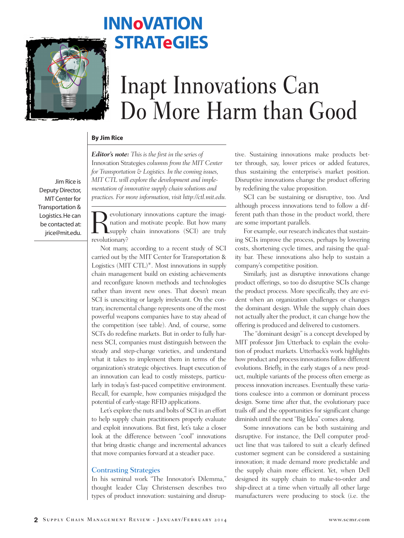

## **INNoVATION STRATeGIES**

# Inapt Innovations Can Do More Harm than Good

#### **By Jim Rice**

*Editor's note: This is the first in the series of*  Innovation Strategies *columns from the MIT Center for Transportation & Logistics. In the coming issues, MIT CTL will explore the development and implementation of innovative supply chain solutions and practices. For more information, visit http://ctl.mit.edu.*

Jim Rice is Deputy Director, MIT Center for Transportation & Logistics. He can be contacted at: jrice@mit.edu.

evolutionary innovations capture the imagination and motivate people. But how many supply chain innovations (SCI) are truly revolutionary?

Not many, according to a recent study of SCI carried out by the MIT Center for Transportation & Logistics (MIT CTL)\*. Most innovations in supply chain management build on existing achievements and reconfigure known methods and technologies rather than invent new ones. That doesn't mean SCI is unexciting or largely irrelevant. On the contrary, incremental change represents one of the most powerful weapons companies have to stay ahead of the competition (see table). And, of course, some SCI's do redefine markets. But in order to fully harness SCI, companies must distinguish between the steady and step-change varieties, and understand what it takes to implement them in terms of the organization's strategic objectives. Inapt execution of an innovation can lead to costly missteps, particularly in today's fast-paced competitive environment. Recall, for example, how companies misjudged the potential of early-stage RFID applications.

Let's explore the nuts and bolts of SCI in an effort to help supply chain practitioners properly evaluate and exploit innovations. But first, let's take a closer look at the difference between "cool" innovations that bring drastic change and incremental advances that move companies forward at a steadier pace.

#### Contrasting Strategies

In his seminal work "The Innovator's Dilemma," thought leader Clay Christensen describes two types of product innovation: sustaining and disruptive. Sustaining innovations make products better through, say, lower prices or added features, thus sustaining the enterprise's market position. Disruptive innovations change the product offering by redefining the value proposition.

SCI can be sustaining or disruptive, too. And although process innovations tend to follow a different path than those in the product world, there are some important parallels.

For example, our research indicates that sustaining SCIs improve the process, perhaps by lowering costs, shortening cycle times, and raising the quality bar. These innovations also help to sustain a company's competitive position.

Similarly, just as disruptive innovations change product offerings, so too do disruptive SCIs change the product process. More specifically, they are evident when an organization challenges or changes the dominant design. While the supply chain does not actually alter the product, it can change how the offering is produced and delivered to customers.

The "dominant design" is a concept developed by MIT professor Jim Utterback to explain the evolution of product markets. Utterback's work highlights how product and process innovations follow different evolutions. Briefly, in the early stages of a new product, multiple variants of the process often emerge as process innovation increases. Eventually these variations coalesce into a common or dominant process design. Some time after that, the evolutionary pace trails off and the opportunities for significant change diminish until the next "Big Idea" comes along.

Some innovations can be both sustaining and disruptive. For instance, the Dell computer product line that was tailored to suit a clearly defined customer segment can be considered a sustaining innovation; it made demand more predictable and the supply chain more efficient. Yet, when Dell designed its supply chain to make-to-order and ship-direct at a time when virtually all other large manufacturers were producing to stock (i.e. the